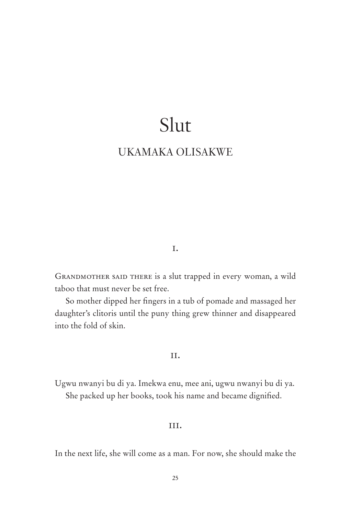# Slut

# UKAMAKA OLISAKWE

# i.

GRANDMOTHER SAID THERE is a slut trapped in every woman, a wild taboo that must never be set free.

So mother dipped her fingers in a tub of pomade and massaged her daughter's clitoris until the puny thing grew thinner and disappeared into the fold of skin.

# ii.

Ugwu nwanyi bu di ya. Imekwa enu, mee ani, ugwu nwanyi bu di ya. She packed up her books, took his name and became dignified.

# iii.

In the next life, she will come as a man. For now, she should make the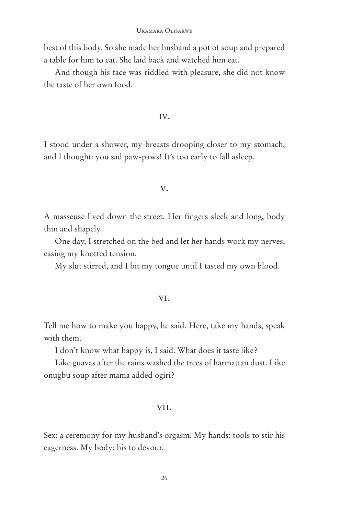best of this body. So she made her husband a pot of soup and prepared a table for him to eat. She laid back and watched him eat.

And though his face was riddled with pleasure, she did not know the taste of her own food.

#### iv.

I stood under a shower, my breasts drooping closer to my stomach, and I thought: you sad paw-paws! It's too early to fall asleep.

#### v.

A masseuse lived down the street. Her fingers sleek and long, body thin and shapely.

One day, I stretched on the bed and let her hands work my nerves, easing my knotted tension.

My slut stirred, and I bit my tongue until I tasted my own blood.

## vi.

Tell me how to make you happy, he said. Here, take my hands, speak with them.

I don't know what happy is, I said. What does it taste like?

Like guavas after the rains washed the trees of harmattan dust. Like onugbu soup after mama added ogiri?

#### vii.

Sex: a ceremony for my husband's orgasm. My hands: tools to stir his eagerness. My body: his to devour.